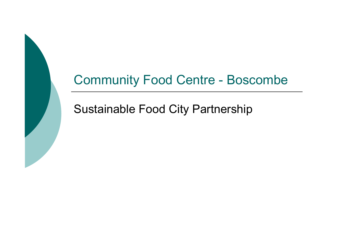#### Community Food Centre - Boscombe

#### Sustainable Food City Partnership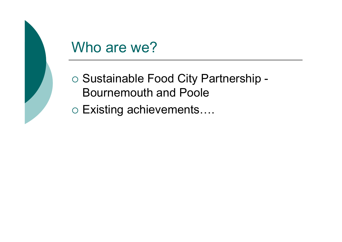

## Who are we?

- o Sustainable Food City Partnership -Bournemouth and Poole
- Existing achievements….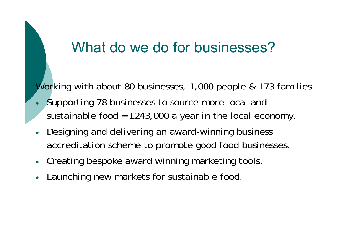## What do we do for businesses?

Working with about 80 businesses, 1,000 people & 173 families

- $\bullet$  Supporting 78 businesses to source more local and sustainable food =  $£243,000$  a year in the local economy.
- 0 Designing and delivering an award-winning business accreditation scheme to promote good food businesses.
- 0 Creating bespoke award winning marketing tools.
- 0 Launching new markets for sustainable food.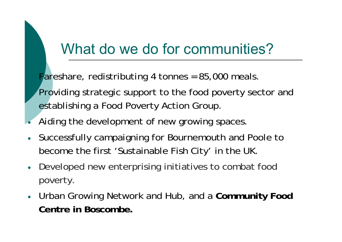## What do we do for communities?

Fareshare, redistributing 4 tonnes = 85,000 meals.

- Providing strategic support to the food poverty sector and establishing a Food Poverty Action Group.
- $\bullet$ Aiding the development of new growing spaces.
- 0 Successfully campaigning for Bournemouth and Poole to become the first 'Sustainable Fish City' in the UK.
- 0 Developed new enterprising initiatives to combat food poverty.
- 0 Urban Growing Network and Hub, and a **Community Food Centre in Boscombe.**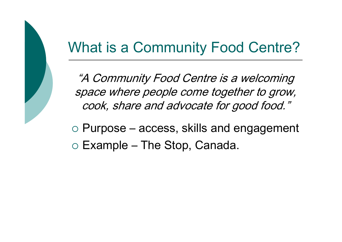## What is a Community Food Centre?

"A Community Food Centre is a welcoming space where people come together to grow, cook, share and advocate for good food."

o Purpose – access, skills and engagement  $\circ$  Example – The Stop, Canada.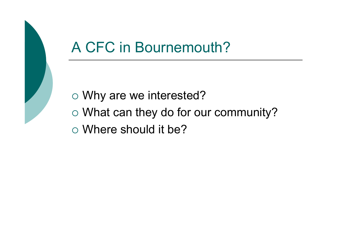

# A CFC in Bournemouth?

- Why are we interested?
- What can they do for our community?
- Where should it be?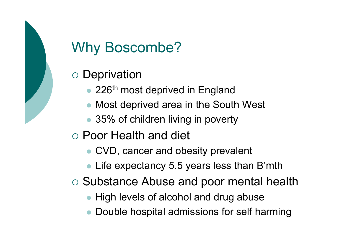# Why Boscombe?

#### $\circ$  Deprivation

- 226<sup>th</sup> most deprived in England
- $\bullet$ Most deprived area in the South West
- 35% of children living in poverty
- Poor Health and diet
	- CVD, cancer and obesity prevalent
	- Life expectancy 5.5 years less than B'mth
- o Substance Abuse and poor mental health
	- High levels of alcohol and drug abuse
	- $\bullet$ Double hospital admissions for self harming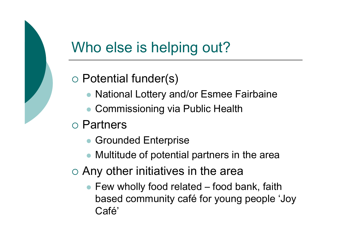# Who else is helping out?

#### Potential funder(s)

- National Lottery and/or Esmee Fairbaine
- $\bullet$ Commissioning via Public Health
- Partners
	- $\bullet$ Grounded Enterprise
	- Multitude of potential partners in the area
- $\circ$  Any other initiatives in the area
	- Few wholly food related food bank, faith based community café for young people 'Joy Café'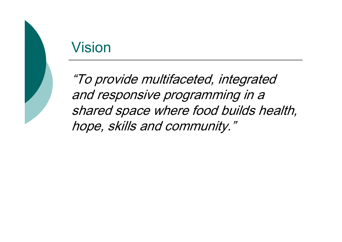## Vision

"To provide multifaceted, integrated and responsive programming in a shared space where food builds health, hope, skills and community."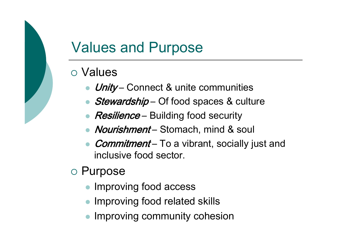# Values and Purpose

#### o Values

- *Unity* Connect & unite communities
- $\bullet$ Stewardship – Of food spaces & culture
- *Resilience* Building food security
- Nourishment Stomach, mind & soul
- $\bullet$ Commitment – To a vibrant, socially just and inclusive food sector.
- o Purpose
	- $\bullet$ Improving food access
	- **Improving food related skills**
	- $\bullet$ Improving community cohesion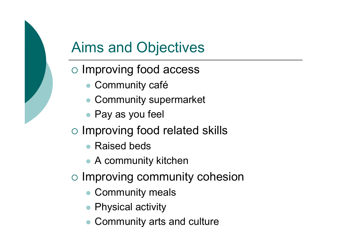# Aims and Objectives

- o Improving food access
	- Community café
	- Community supermarket
	- Pay as you feel
- o Improving food related skills
	- $\bullet$ Raised beds
	- A community kitchen
- o Improving community cohesion
	- $\bullet$ Community meals
	- Physical activity
	- $\bullet$ Community arts and culture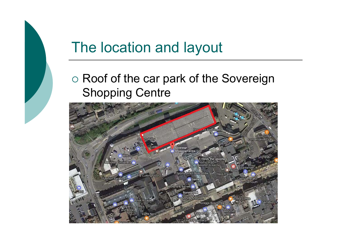#### o Roof of the car park of the Sovereign Shopping Centre

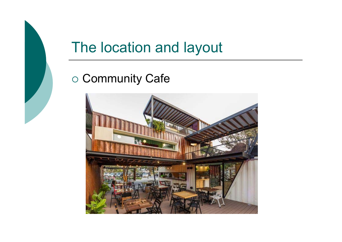#### o Community Cafe

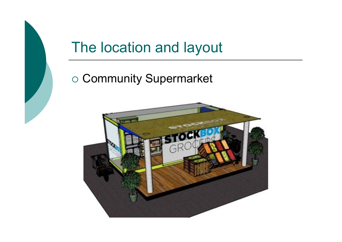#### o Community Supermarket

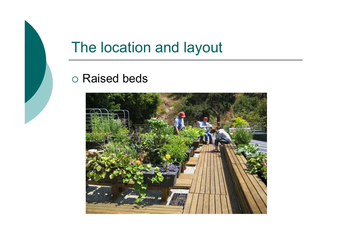#### Raised beds

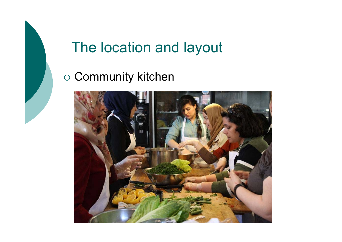#### ○ Community kitchen

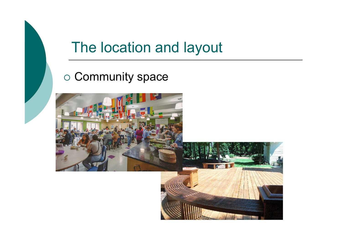#### o Community space

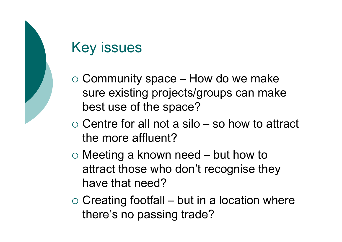## Key issues

- $\circ$  Community space How do we make sure existing projects/groups can make best use of the space?
- $\circ$  Centre for all not a silo so how to attract the more affluent?
- Meeting a known need but how to attract those who don't recognise they have that need?
- $\circ$  Creating footfall but in a location where there's no passing trade?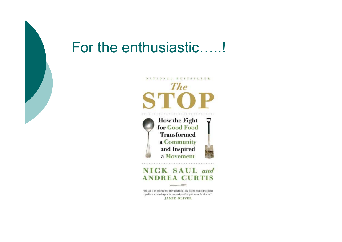#### For the enthusiastic…..!



"The Stop is an inspiring true story about how a low-income neighbourhood used good food to take charge of its community-it's a great lesson for all of us." **JAMIE OLIVER** 

œ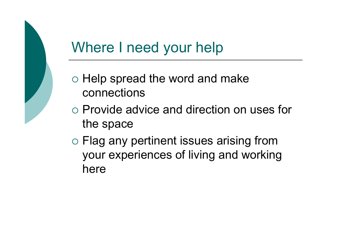# Where I need your help

- $\circ$  Help spread the word and make connections
- Provide advice and direction on uses for the space
- Flag any pertinent issues arising from your experiences of living and working here